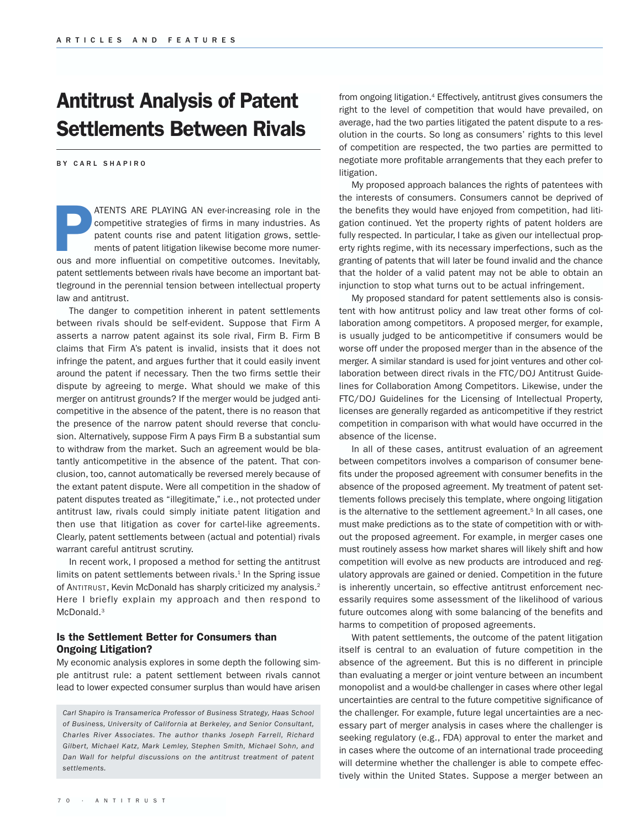## Antitrust Analysis of Patent Settlements Between Rivals

BY CARL SHAPIRO

ATENTS ARE PLAYING AN ever-increasing role in the competitive strategies of firms in many industries. As patent counts rise and patent litigation grows, settlements of patent litigation likewise become more numerous and mo competitive strategies of firms in many industries. As patent counts rise and patent litigation grows, settlements of patent litigation likewise become more numerpatent settlements between rivals have become an important battleground in the perennial tension between intellectual property law and antitrust.

The danger to competition inherent in patent settlements between rivals should be self-evident. Suppose that Firm A asserts a narrow patent against its sole rival, Firm B. Firm B claims that Firm A's patent is invalid, insists that it does not infringe the patent, and argues further that it could easily invent around the patent if necessary. Then the two firms settle their dispute by agreeing to merge. What should we make of this merger on antitrust grounds? If the merger would be judged anticompetitive in the absence of the patent, there is no reason that the presence of the narrow patent should reverse that conclusion. Alternatively, suppose Firm A pays Firm B a substantial sum to withdraw from the market. Such an agreement would be blatantly anticompetitive in the absence of the patent. That conclusion, too, cannot automatically be reversed merely because of the extant patent dispute. Were all competition in the shadow of patent disputes treated as "illegitimate," i.e., not protected under antitrust law, rivals could simply initiate patent litigation and then use that litigation as cover for cartel-like agreements. Clearly, patent settlements between (actual and potential) rivals warrant careful antitrust scrutiny.

In recent work, I proposed a method for setting the antitrust limits on patent settlements between rivals.<sup>1</sup> In the Spring issue of ANTITRUST, Kevin McDonald has sharply criticized my analysis.2 Here I briefly explain my approach and then respond to McDonald.<sup>3</sup>

## Is the Settlement Better for Consumers than Ongoing Litigation?

My economic analysis explores in some depth the following simple antitrust rule: a patent settlement between rivals cannot lead to lower expected consumer surplus than would have arisen

*Carl Shapiro is Transamerica Professor of Business Strategy, Haas School of Business, University of California at Berkeley, and Senior Consultant, Charles River Associates. The author thanks Joseph Farrell, Richard Gilbert, Michael Katz, Mark Lemley, Stephen Smith, Michael Sohn, and Dan Wall for helpful discussions on the antitrust treatment of patent settlements.*

from ongoing litigation.<sup>4</sup> Effectively, antitrust gives consumers the right to the level of competition that would have prevailed, on average, had the two parties litigated the patent dispute to a resolution in the courts. So long as consumers' rights to this level of competition are respected, the two parties are permitted to negotiate more profitable arrangements that they each prefer to litigation.

My proposed approach balances the rights of patentees with the interests of consumers. Consumers cannot be deprived of the benefits they would have enjoyed from competition, had litigation continued. Yet the property rights of patent holders are fully respected. In particular, I take as given our intellectual property rights regime, with its necessary imperfections, such as the granting of patents that will later be found invalid and the chance that the holder of a valid patent may not be able to obtain an injunction to stop what turns out to be actual infringement.

My proposed standard for patent settlements also is consistent with how antitrust policy and law treat other forms of collaboration among competitors. A proposed merger, for example, is usually judged to be anticompetitive if consumers would be worse off under the proposed merger than in the absence of the merger. A similar standard is used for joint ventures and other collaboration between direct rivals in the FTC/DOJ Antitrust Guidelines for Collaboration Among Competitors. Likewise, under the FTC/DOJ Guidelines for the Licensing of Intellectual Property, licenses are generally regarded as anticompetitive if they restrict competition in comparison with what would have occurred in the absence of the license.

In all of these cases, antitrust evaluation of an agreement between competitors involves a comparison of consumer benefits under the proposed agreement with consumer benefits in the absence of the proposed agreement. My treatment of patent settlements follows precisely this template, where ongoing litigation is the alternative to the settlement agreement.<sup>5</sup> In all cases, one must make predictions as to the state of competition with or without the proposed agreement. For example, in merger cases one must routinely assess how market shares will likely shift and how competition will evolve as new products are introduced and regulatory approvals are gained or denied. Competition in the future is inherently uncertain, so effective antitrust enforcement necessarily requires some assessment of the likelihood of various future outcomes along with some balancing of the benefits and harms to competition of proposed agreements.

With patent settlements, the outcome of the patent litigation itself is central to an evaluation of future competition in the absence of the agreement. But this is no different in principle than evaluating a merger or joint venture between an incumbent monopolist and a would-be challenger in cases where other legal uncertainties are central to the future competitive significance of the challenger. For example, future legal uncertainties are a necessary part of merger analysis in cases where the challenger is seeking regulatory (e.g., FDA) approval to enter the market and in cases where the outcome of an international trade proceeding will determine whether the challenger is able to compete effectively within the United States. Suppose a merger between an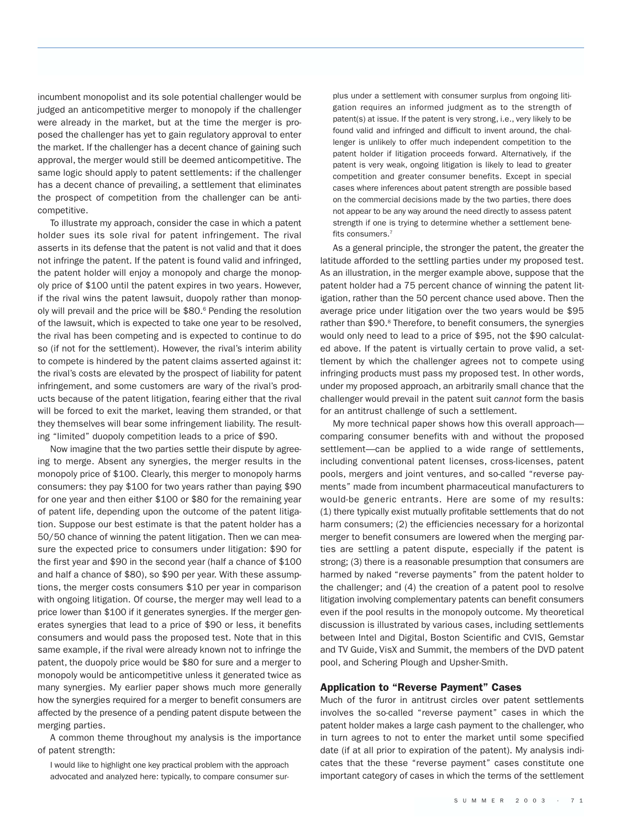incumbent monopolist and its sole potential challenger would be judged an anticompetitive merger to monopoly if the challenger were already in the market, but at the time the merger is proposed the challenger has yet to gain regulatory approval to enter the market. If the challenger has a decent chance of gaining such approval, the merger would still be deemed anticompetitive. The same logic should apply to patent settlements: if the challenger has a decent chance of prevailing, a settlement that eliminates the prospect of competition from the challenger can be anticompetitive.

To illustrate my approach, consider the case in which a patent holder sues its sole rival for patent infringement. The rival asserts in its defense that the patent is not valid and that it does not infringe the patent. If the patent is found valid and infringed, the patent holder will enjoy a monopoly and charge the monopoly price of \$100 until the patent expires in two years. However, if the rival wins the patent lawsuit, duopoly rather than monopoly will prevail and the price will be \$80.<sup>6</sup> Pending the resolution of the lawsuit, which is expected to take one year to be resolved, the rival has been competing and is expected to continue to do so (if not for the settlement). However, the rival's interim ability to compete is hindered by the patent claims asserted against it: the rival's costs are elevated by the prospect of liability for patent infringement, and some customers are wary of the rival's products because of the patent litigation, fearing either that the rival will be forced to exit the market, leaving them stranded, or that they themselves will bear some infringement liability. The resulting "limited" duopoly competition leads to a price of \$90.

Now imagine that the two parties settle their dispute by agreeing to merge. Absent any synergies, the merger results in the monopoly price of \$100. Clearly, this merger to monopoly harms consumers: they pay \$100 for two years rather than paying \$90 for one year and then either \$100 or \$80 for the remaining year of patent life, depending upon the outcome of the patent litigation. Suppose our best estimate is that the patent holder has a 50/50 chance of winning the patent litigation. Then we can measure the expected price to consumers under litigation: \$90 for the first year and \$90 in the second year (half a chance of \$100 and half a chance of \$80), so \$90 per year. With these assumptions, the merger costs consumers \$10 per year in comparison with ongoing litigation. Of course, the merger may well lead to a price lower than \$100 if it generates synergies. If the merger generates synergies that lead to a price of \$90 or less, it benefits consumers and would pass the proposed test. Note that in this same example, if the rival were already known not to infringe the patent, the duopoly price would be \$80 for sure and a merger to monopoly would be anticompetitive unless it generated twice as many synergies. My earlier paper shows much more generally how the synergies required for a merger to benefit consumers are affected by the presence of a pending patent dispute between the merging parties.

A common theme throughout my analysis is the importance of patent strength:

I would like to highlight one key practical problem with the approach advocated and analyzed here: typically, to compare consumer sur-

plus under a settlement with consumer surplus from ongoing litigation requires an informed judgment as to the strength of patent(s) at issue. If the patent is very strong, i.e., very likely to be found valid and infringed and difficult to invent around, the challenger is unlikely to offer much independent competition to the patent holder if litigation proceeds forward. Alternatively, if the patent is very weak, ongoing litigation is likely to lead to greater competition and greater consumer benefits. Except in special cases where inferences about patent strength are possible based on the commercial decisions made by the two parties, there does not appear to be any way around the need directly to assess patent strength if one is trying to determine whether a settlement benefits consumers.7

As a general principle, the stronger the patent, the greater the latitude afforded to the settling parties under my proposed test. As an illustration, in the merger example above, suppose that the patent holder had a 75 percent chance of winning the patent litigation, rather than the 50 percent chance used above. Then the average price under litigation over the two years would be \$95 rather than \$90.<sup>8</sup> Therefore, to benefit consumers, the synergies would only need to lead to a price of \$95, not the \$90 calculated above. If the patent is virtually certain to prove valid, a settlement by which the challenger agrees not to compete using infringing products must pass my proposed test. In other words, under my proposed approach, an arbitrarily small chance that the challenger would prevail in the patent suit *cannot* form the basis for an antitrust challenge of such a settlement.

My more technical paper shows how this overall approach comparing consumer benefits with and without the proposed settlement—can be applied to a wide range of settlements, including conventional patent licenses, cross-licenses, patent pools, mergers and joint ventures, and so-called "reverse payments" made from incumbent pharmaceutical manufacturers to would-be generic entrants. Here are some of my results: (1) there typically exist mutually profitable settlements that do not harm consumers; (2) the efficiencies necessary for a horizontal merger to benefit consumers are lowered when the merging parties are settling a patent dispute, especially if the patent is strong; (3) there is a reasonable presumption that consumers are harmed by naked "reverse payments" from the patent holder to the challenger; and (4) the creation of a patent pool to resolve litigation involving complementary patents can benefit consumers even if the pool results in the monopoly outcome. My theoretical discussion is illustrated by various cases, including settlements between Intel and Digital, Boston Scientific and CVIS, Gemstar and TV Guide, VisX and Summit, the members of the DVD patent pool, and Schering Plough and Upsher-Smith.

#### Application to "Reverse Payment" Cases

Much of the furor in antitrust circles over patent settlements involves the so-called "reverse payment" cases in which the patent holder makes a large cash payment to the challenger, who in turn agrees to not to enter the market until some specified date (if at all prior to expiration of the patent). My analysis indicates that the these "reverse payment" cases constitute one important category of cases in which the terms of the settlement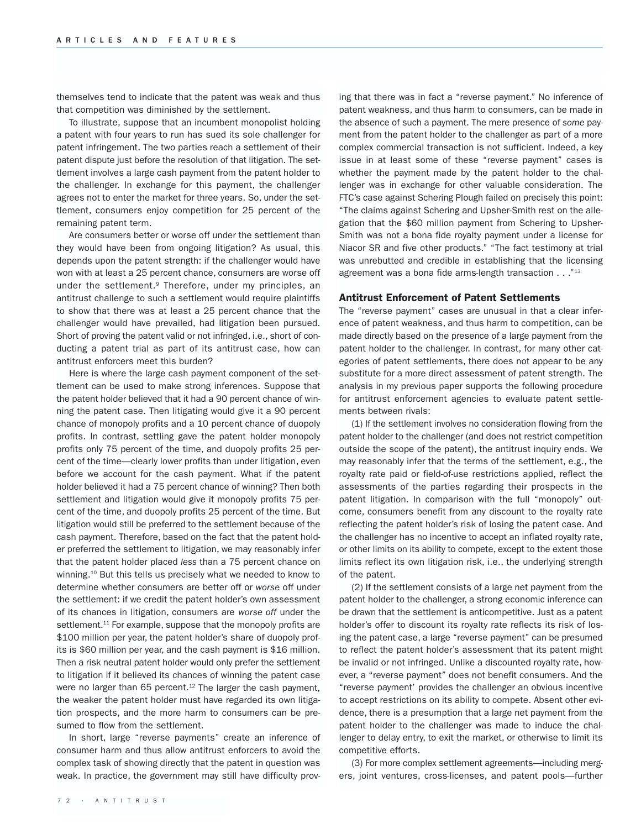themselves tend to indicate that the patent was weak and thus that competition was diminished by the settlement.

To illustrate, suppose that an incumbent monopolist holding a patent with four years to run has sued its sole challenger for patent infringement. The two parties reach a settlement of their patent dispute just before the resolution of that litigation. The settlement involves a large cash payment from the patent holder to the challenger. In exchange for this payment, the challenger agrees not to enter the market for three years. So, under the settlement, consumers enjoy competition for 25 percent of the remaining patent term.

Are consumers better or worse off under the settlement than they would have been from ongoing litigation? As usual, this depends upon the patent strength: if the challenger would have won with at least a 25 percent chance, consumers are worse off under the settlement.<sup>9</sup> Therefore, under my principles, an antitrust challenge to such a settlement would require plaintiffs to show that there was at least a 25 percent chance that the challenger would have prevailed, had litigation been pursued. Short of proving the patent valid or not infringed, i.e., short of conducting a patent trial as part of its antitrust case, how can antitrust enforcers meet this burden?

Here is where the large cash payment component of the settlement can be used to make strong inferences. Suppose that the patent holder believed that it had a 90 percent chance of winning the patent case. Then litigating would give it a 90 percent chance of monopoly profits and a 10 percent chance of duopoly profits. In contrast, settling gave the patent holder monopoly profits only 75 percent of the time, and duopoly profits 25 percent of the time—clearly lower profits than under litigation, even before we account for the cash payment. What if the patent holder believed it had a 75 percent chance of winning? Then both settlement and litigation would give it monopoly profits 75 percent of the time, and duopoly profits 25 percent of the time. But litigation would still be preferred to the settlement because of the cash payment. Therefore, based on the fact that the patent holder preferred the settlement to litigation, we may reasonably infer that the patent holder placed *less* than a 75 percent chance on winning.10 But this tells us precisely what we needed to know to determine whether consumers are better off or *worse* off under the settlement: if we credit the patent holder's own assessment of its chances in litigation, consumers are *worse off* under the settlement.<sup>11</sup> For example, suppose that the monopoly profits are \$100 million per year, the patent holder's share of duopoly profits is \$60 million per year, and the cash payment is \$16 million. Then a risk neutral patent holder would only prefer the settlement to litigation if it believed its chances of winning the patent case were no larger than 65 percent.<sup>12</sup> The larger the cash payment, the weaker the patent holder must have regarded its own litigation prospects, and the more harm to consumers can be presumed to flow from the settlement.

In short, large "reverse payments" create an inference of consumer harm and thus allow antitrust enforcers to avoid the complex task of showing directly that the patent in question was weak. In practice, the government may still have difficulty proving that there was in fact a "reverse payment." No inference of patent weakness, and thus harm to consumers, can be made in the absence of such a payment. The mere presence of *some* payment from the patent holder to the challenger as part of a more complex commercial transaction is not sufficient. Indeed, a key issue in at least some of these "reverse payment" cases is whether the payment made by the patent holder to the challenger was in exchange for other valuable consideration. The FTC's case against Schering Plough failed on precisely this point: "The claims against Schering and Upsher-Smith rest on the allegation that the \$60 million payment from Schering to Upsher-Smith was not a bona fide royalty payment under a license for Niacor SR and five other products." "The fact testimony at trial was unrebutted and credible in establishing that the licensing agreement was a bona fide arms-length transaction . . ."13

#### Antitrust Enforcement of Patent Settlements

The "reverse payment" cases are unusual in that a clear inference of patent weakness, and thus harm to competition, can be made directly based on the presence of a large payment from the patent holder to the challenger. In contrast, for many other categories of patent settlements, there does not appear to be any substitute for a more direct assessment of patent strength. The analysis in my previous paper supports the following procedure for antitrust enforcement agencies to evaluate patent settlements between rivals:

(1) If the settlement involves no consideration flowing from the patent holder to the challenger (and does not restrict competition outside the scope of the patent), the antitrust inquiry ends. We may reasonably infer that the terms of the settlement, e.g., the royalty rate paid or field-of-use restrictions applied, reflect the assessments of the parties regarding their prospects in the patent litigation. In comparison with the full "monopoly" outcome, consumers benefit from any discount to the royalty rate reflecting the patent holder's risk of losing the patent case. And the challenger has no incentive to accept an inflated royalty rate, or other limits on its ability to compete, except to the extent those limits reflect its own litigation risk, i.e., the underlying strength of the patent.

(2) If the settlement consists of a large net payment from the patent holder to the challenger, a strong economic inference can be drawn that the settlement is anticompetitive. Just as a patent holder's offer to discount its royalty rate reflects its risk of losing the patent case, a large "reverse payment" can be presumed to reflect the patent holder's assessment that its patent might be invalid or not infringed. Unlike a discounted royalty rate, however, a "reverse payment" does not benefit consumers. And the "reverse payment' provides the challenger an obvious incentive to accept restrictions on its ability to compete. Absent other evidence, there is a presumption that a large net payment from the patent holder to the challenger was made to induce the challenger to delay entry, to exit the market, or otherwise to limit its competitive efforts.

(3) For more complex settlement agreements—including mergers, joint ventures, cross-licenses, and patent pools—further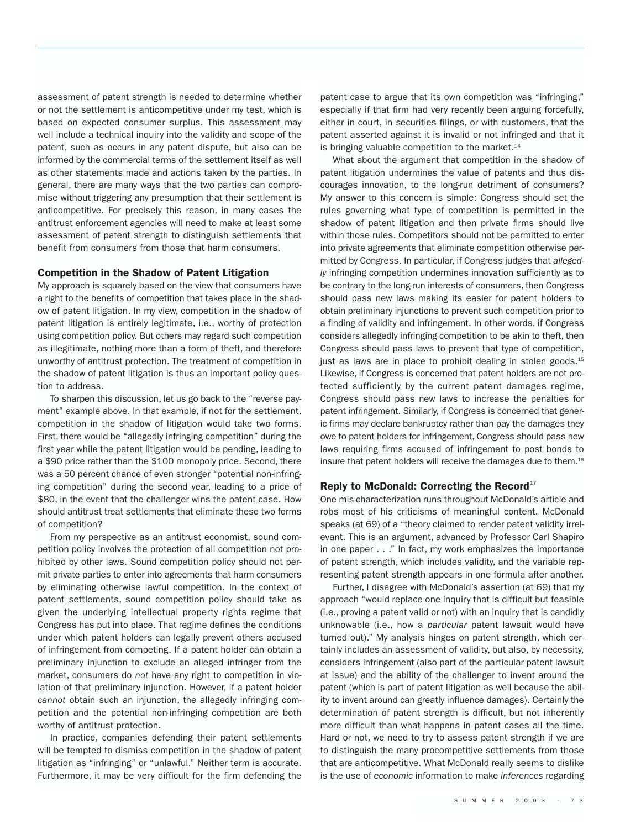assessment of patent strength is needed to determine whether or not the settlement is anticompetitive under my test, which is based on expected consumer surplus. This assessment may well include a technical inquiry into the validity and scope of the patent, such as occurs in any patent dispute, but also can be informed by the commercial terms of the settlement itself as well as other statements made and actions taken by the parties. In general, there are many ways that the two parties can compromise without triggering any presumption that their settlement is anticompetitive. For precisely this reason, in many cases the antitrust enforcement agencies will need to make at least some assessment of patent strength to distinguish settlements that benefit from consumers from those that harm consumers.

#### Competition in the Shadow of Patent Litigation

My approach is squarely based on the view that consumers have a right to the benefits of competition that takes place in the shadow of patent litigation. In my view, competition in the shadow of patent litigation is entirely legitimate, i.e., worthy of protection using competition policy. But others may regard such competition as illegitimate, nothing more than a form of theft, and therefore unworthy of antitrust protection. The treatment of competition in the shadow of patent litigation is thus an important policy question to address.

To sharpen this discussion, let us go back to the "reverse payment" example above. In that example, if not for the settlement, competition in the shadow of litigation would take two forms. First, there would be "allegedly infringing competition" during the first year while the patent litigation would be pending, leading to a \$90 price rather than the \$100 monopoly price. Second, there was a 50 percent chance of even stronger "potential non-infringing competition" during the second year, leading to a price of \$80, in the event that the challenger wins the patent case. How should antitrust treat settlements that eliminate these two forms of competition?

From my perspective as an antitrust economist, sound competition policy involves the protection of all competition not prohibited by other laws. Sound competition policy should not permit private parties to enter into agreements that harm consumers by eliminating otherwise lawful competition. In the context of patent settlements, sound competition policy should take as given the underlying intellectual property rights regime that Congress has put into place. That regime defines the conditions under which patent holders can legally prevent others accused of infringement from competing. If a patent holder can obtain a preliminary injunction to exclude an alleged infringer from the market, consumers do *not* have any right to competition in violation of that preliminary injunction. However, if a patent holder *cannot* obtain such an injunction, the allegedly infringing competition and the potential non-infringing competition are both worthy of antitrust protection.

In practice, companies defending their patent settlements will be tempted to dismiss competition in the shadow of patent litigation as "infringing" or "unlawful." Neither term is accurate. Furthermore, it may be very difficult for the firm defending the patent case to argue that its own competition was "infringing," especially if that firm had very recently been arguing forcefully, either in court, in securities filings, or with customers, that the patent asserted against it is invalid or not infringed and that it is bringing valuable competition to the market. $14$ 

What about the argument that competition in the shadow of patent litigation undermines the value of patents and thus discourages innovation, to the long-run detriment of consumers? My answer to this concern is simple: Congress should set the rules governing what type of competition is permitted in the shadow of patent litigation and then private firms should live within those rules. Competitors should not be permitted to enter into private agreements that eliminate competition otherwise permitted by Congress. In particular, if Congress judges that *allegedly* infringing competition undermines innovation sufficiently as to be contrary to the long-run interests of consumers, then Congress should pass new laws making its easier for patent holders to obtain preliminary injunctions to prevent such competition prior to a finding of validity and infringement. In other words, if Congress considers allegedly infringing competition to be akin to theft, then Congress should pass laws to prevent that type of competition, just as laws are in place to prohibit dealing in stolen goods.<sup>15</sup> Likewise, if Congress is concerned that patent holders are not protected sufficiently by the current patent damages regime, Congress should pass new laws to increase the penalties for patent infringement. Similarly, if Congress is concerned that generic firms may declare bankruptcy rather than pay the damages they owe to patent holders for infringement, Congress should pass new laws requiring firms accused of infringement to post bonds to insure that patent holders will receive the damages due to them.16

#### Reply to McDonald: Correcting the Record<sup>17</sup>

One mis-characterization runs throughout McDonald's article and robs most of his criticisms of meaningful content. McDonald speaks (at 69) of a "theory claimed to render patent validity irrelevant. This is an argument, advanced by Professor Carl Shapiro in one paper . . ." In fact, my work emphasizes the importance of patent strength, which includes validity, and the variable representing patent strength appears in one formula after another.

Further, I disagree with McDonald's assertion (at 69) that my approach "would replace one inquiry that is difficult but feasible (i.e., proving a patent valid or not) with an inquiry that is candidly unknowable (i.e., how a *particular* patent lawsuit would have turned out)." My analysis hinges on patent strength, which certainly includes an assessment of validity, but also, by necessity, considers infringement (also part of the particular patent lawsuit at issue) and the ability of the challenger to invent around the patent (which is part of patent litigation as well because the ability to invent around can greatly influence damages). Certainly the determination of patent strength is difficult, but not inherently more difficult than what happens in patent cases all the time. Hard or not, we need to try to assess patent strength if we are to distinguish the many procompetitive settlements from those that are anticompetitive. What McDonald really seems to dislike is the use of *economic* information to make *inferences* regarding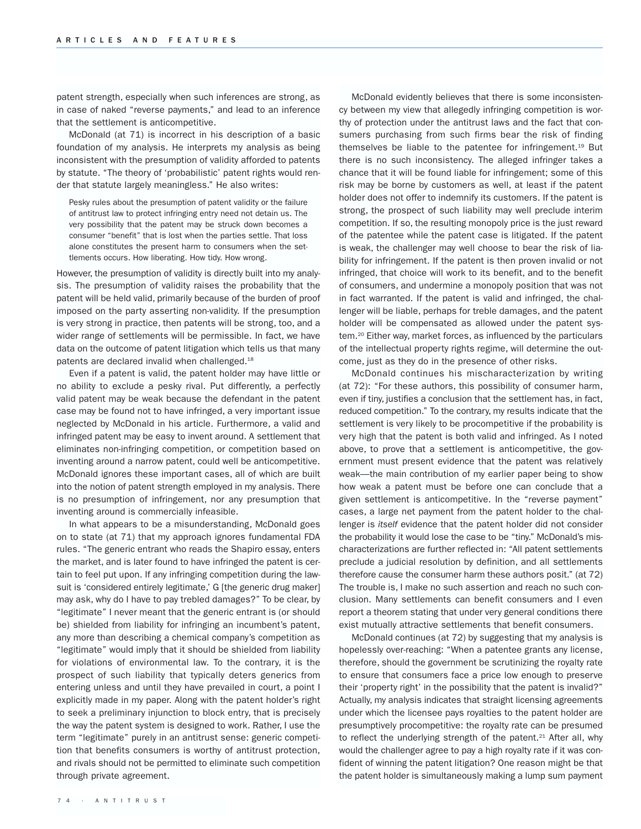patent strength, especially when such inferences are strong, as in case of naked "reverse payments," and lead to an inference that the settlement is anticompetitive.

McDonald (at 71) is incorrect in his description of a basic foundation of my analysis. He interprets my analysis as being inconsistent with the presumption of validity afforded to patents by statute. "The theory of 'probabilistic' patent rights would render that statute largely meaningless." He also writes:

Pesky rules about the presumption of patent validity or the failure of antitrust law to protect infringing entry need not detain us. The very possibility that the patent may be struck down becomes a consumer "benefit" that is lost when the parties settle. That loss alone constitutes the present harm to consumers when the settlements occurs. How liberating. How tidy. How wrong.

However, the presumption of validity is directly built into my analysis. The presumption of validity raises the probability that the patent will be held valid, primarily because of the burden of proof imposed on the party asserting non-validity. If the presumption is very strong in practice, then patents will be strong, too, and a wider range of settlements will be permissible. In fact, we have data on the outcome of patent litigation which tells us that many patents are declared invalid when challenged.18

Even if a patent is valid, the patent holder may have little or no ability to exclude a pesky rival. Put differently, a perfectly valid patent may be weak because the defendant in the patent case may be found not to have infringed, a very important issue neglected by McDonald in his article. Furthermore, a valid and infringed patent may be easy to invent around. A settlement that eliminates non-infringing competition, or competition based on inventing around a narrow patent, could well be anticompetitive. McDonald ignores these important cases, all of which are built into the notion of patent strength employed in my analysis. There is no presumption of infringement, nor any presumption that inventing around is commercially infeasible.

In what appears to be a misunderstanding, McDonald goes on to state (at 71) that my approach ignores fundamental FDA rules. "The generic entrant who reads the Shapiro essay, enters the market, and is later found to have infringed the patent is certain to feel put upon. If any infringing competition during the lawsuit is 'considered entirely legitimate,' G [the generic drug maker] may ask, why do I have to pay trebled damages?" To be clear, by "legitimate" I never meant that the generic entrant is (or should be) shielded from liability for infringing an incumbent's patent, any more than describing a chemical company's competition as "legitimate" would imply that it should be shielded from liability for violations of environmental law. To the contrary, it is the prospect of such liability that typically deters generics from entering unless and until they have prevailed in court, a point I explicitly made in my paper. Along with the patent holder's right to seek a preliminary injunction to block entry, that is precisely the way the patent system is designed to work. Rather, I use the term "legitimate" purely in an antitrust sense: generic competition that benefits consumers is worthy of antitrust protection, and rivals should not be permitted to eliminate such competition through private agreement.

McDonald evidently believes that there is some inconsistency between my view that allegedly infringing competition is worthy of protection under the antitrust laws and the fact that consumers purchasing from such firms bear the risk of finding themselves be liable to the patentee for infringement.<sup>19</sup> But there is no such inconsistency. The alleged infringer takes a chance that it will be found liable for infringement; some of this risk may be borne by customers as well, at least if the patent holder does not offer to indemnify its customers. If the patent is strong, the prospect of such liability may well preclude interim competition. If so, the resulting monopoly price is the just reward of the patentee while the patent case is litigated. If the patent is weak, the challenger may well choose to bear the risk of liability for infringement. If the patent is then proven invalid or not infringed, that choice will work to its benefit, and to the benefit of consumers, and undermine a monopoly position that was not in fact warranted. If the patent is valid and infringed, the challenger will be liable, perhaps for treble damages, and the patent holder will be compensated as allowed under the patent system.20 Either way, market forces, as influenced by the particulars of the intellectual property rights regime, will determine the outcome, just as they do in the presence of other risks.

McDonald continues his mischaracterization by writing (at 72): "For these authors, this possibility of consumer harm, even if tiny, justifies a conclusion that the settlement has, in fact, reduced competition." To the contrary, my results indicate that the settlement is very likely to be procompetitive if the probability is very high that the patent is both valid and infringed. As I noted above, to prove that a settlement is anticompetitive, the government must present evidence that the patent was relatively weak—the main contribution of my earlier paper being to show how weak a patent must be before one can conclude that a given settlement is anticompetitive. In the "reverse payment" cases, a large net payment from the patent holder to the challenger is *itself* evidence that the patent holder did not consider the probability it would lose the case to be "tiny." McDonald's mischaracterizations are further reflected in: "All patent settlements preclude a judicial resolution by definition, and all settlements therefore cause the consumer harm these authors posit." (at 72) The trouble is, I make no such assertion and reach no such conclusion. Many settlements can benefit consumers and I even report a theorem stating that under very general conditions there exist mutually attractive settlements that benefit consumers.

McDonald continues (at 72) by suggesting that my analysis is hopelessly over-reaching: "When a patentee grants any license, therefore, should the government be scrutinizing the royalty rate to ensure that consumers face a price low enough to preserve their 'property right' in the possibility that the patent is invalid?" Actually, my analysis indicates that straight licensing agreements under which the licensee pays royalties to the patent holder are presumptively procompetitive: the royalty rate can be presumed to reflect the underlying strength of the patent.<sup>21</sup> After all, why would the challenger agree to pay a high royalty rate if it was confident of winning the patent litigation? One reason might be that the patent holder is simultaneously making a lump sum payment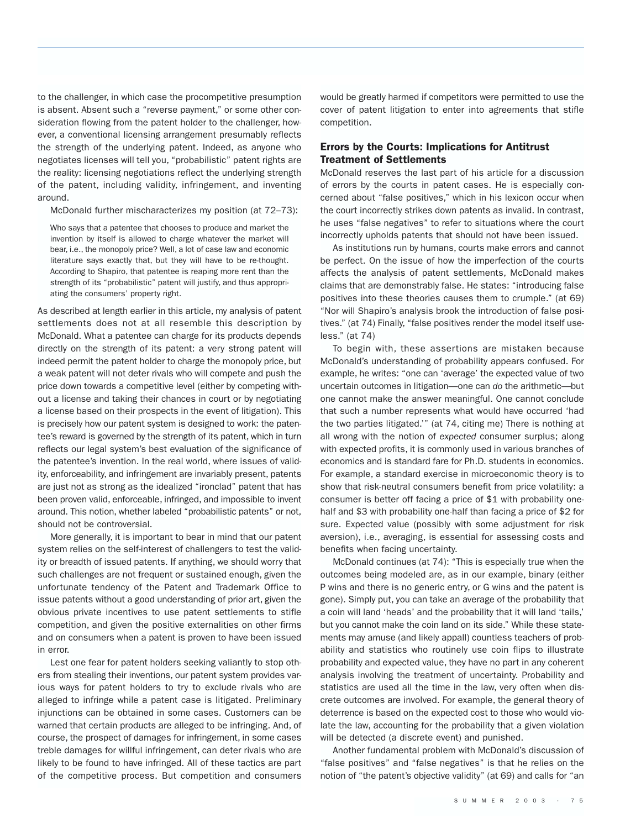to the challenger, in which case the procompetitive presumption is absent. Absent such a "reverse payment," or some other consideration flowing from the patent holder to the challenger, however, a conventional licensing arrangement presumably reflects the strength of the underlying patent. Indeed, as anyone who negotiates licenses will tell you, "probabilistic" patent rights are the reality: licensing negotiations reflect the underlying strength of the patent, including validity, infringement, and inventing around.

McDonald further mischaracterizes my position (at 72–73):

Who says that a patentee that chooses to produce and market the invention by itself is allowed to charge whatever the market will bear, i.e., the monopoly price? Well, a lot of case law and economic literature says exactly that, but they will have to be re-thought. According to Shapiro, that patentee is reaping more rent than the strength of its "probabilistic" patent will justify, and thus appropriating the consumers' property right.

As described at length earlier in this article, my analysis of patent settlements does not at all resemble this description by McDonald. What a patentee can charge for its products depends directly on the strength of its patent: a very strong patent will indeed permit the patent holder to charge the monopoly price, but a weak patent will not deter rivals who will compete and push the price down towards a competitive level (either by competing without a license and taking their chances in court or by negotiating a license based on their prospects in the event of litigation). This is precisely how our patent system is designed to work: the patentee's reward is governed by the strength of its patent, which in turn reflects our legal system's best evaluation of the significance of the patentee's invention. In the real world, where issues of validity, enforceability, and infringement are invariably present, patents are just not as strong as the idealized "ironclad" patent that has been proven valid, enforceable, infringed, and impossible to invent around. This notion, whether labeled "probabilistic patents" or not, should not be controversial.

More generally, it is important to bear in mind that our patent system relies on the self-interest of challengers to test the validity or breadth of issued patents. If anything, we should worry that such challenges are not frequent or sustained enough, given the unfortunate tendency of the Patent and Trademark Office to issue patents without a good understanding of prior art, given the obvious private incentives to use patent settlements to stifle competition, and given the positive externalities on other firms and on consumers when a patent is proven to have been issued in error.

Lest one fear for patent holders seeking valiantly to stop others from stealing their inventions, our patent system provides various ways for patent holders to try to exclude rivals who are alleged to infringe while a patent case is litigated. Preliminary injunctions can be obtained in some cases. Customers can be warned that certain products are alleged to be infringing. And, of course, the prospect of damages for infringement, in some cases treble damages for willful infringement, can deter rivals who are likely to be found to have infringed. All of these tactics are part of the competitive process. But competition and consumers would be greatly harmed if competitors were permitted to use the cover of patent litigation to enter into agreements that stifle competition.

### Errors by the Courts: Implications for Antitrust Treatment of Settlements

McDonald reserves the last part of his article for a discussion of errors by the courts in patent cases. He is especially concerned about "false positives," which in his lexicon occur when the court incorrectly strikes down patents as invalid. In contrast, he uses "false negatives" to refer to situations where the court incorrectly upholds patents that should not have been issued.

As institutions run by humans, courts make errors and cannot be perfect. On the issue of how the imperfection of the courts affects the analysis of patent settlements, McDonald makes claims that are demonstrably false. He states: "introducing false positives into these theories causes them to crumple." (at 69) "Nor will Shapiro's analysis brook the introduction of false positives." (at 74) Finally, "false positives render the model itself useless." (at 74)

To begin with, these assertions are mistaken because McDonald's understanding of probability appears confused. For example, he writes: "one can 'average' the expected value of two uncertain outcomes in litigation—one can *do* the arithmetic—but one cannot make the answer meaningful. One cannot conclude that such a number represents what would have occurred 'had the two parties litigated.'" (at 74, citing me) There is nothing at all wrong with the notion of *expected* consumer surplus; along with expected profits, it is commonly used in various branches of economics and is standard fare for Ph.D. students in economics. For example, a standard exercise in microeconomic theory is to show that risk-neutral consumers benefit from price volatility: a consumer is better off facing a price of \$1 with probability onehalf and \$3 with probability one-half than facing a price of \$2 for sure. Expected value (possibly with some adjustment for risk aversion), i.e., averaging, is essential for assessing costs and benefits when facing uncertainty.

McDonald continues (at 74): "This is especially true when the outcomes being modeled are, as in our example, binary (either P wins and there is no generic entry, or G wins and the patent is gone). Simply put, you can take an average of the probability that a coin will land 'heads' and the probability that it will land 'tails,' but you cannot make the coin land on its side." While these statements may amuse (and likely appall) countless teachers of probability and statistics who routinely use coin flips to illustrate probability and expected value, they have no part in any coherent analysis involving the treatment of uncertainty. Probability and statistics are used all the time in the law, very often when discrete outcomes are involved. For example, the general theory of deterrence is based on the expected cost to those who would violate the law, accounting for the probability that a given violation will be detected (a discrete event) and punished.

Another fundamental problem with McDonald's discussion of "false positives" and "false negatives" is that he relies on the notion of "the patent's objective validity" (at 69) and calls for "an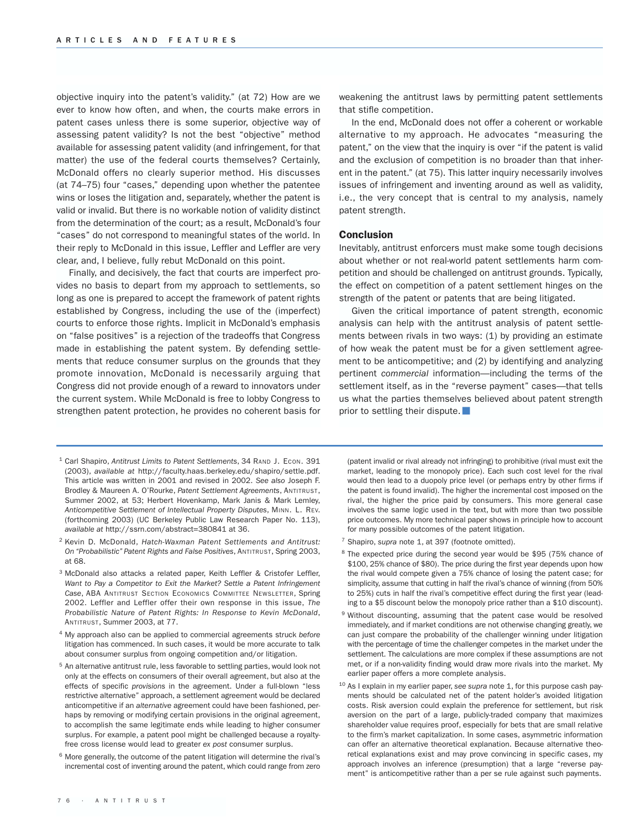objective inquiry into the patent's validity." (at 72) How are we ever to know how often, and when, the courts make errors in patent cases unless there is some superior, objective way of assessing patent validity? Is not the best "objective" method available for assessing patent validity (and infringement, for that matter) the use of the federal courts themselves? Certainly, McDonald offers no clearly superior method. His discusses (at 74–75) four "cases," depending upon whether the patentee wins or loses the litigation and, separately, whether the patent is valid or invalid. But there is no workable notion of validity distinct from the determination of the court; as a result, McDonald's four "cases" do not correspond to meaningful states of the world. In their reply to McDonald in this issue, Leffler and Leffler are very clear, and, I believe, fully rebut McDonald on this point.

Finally, and decisively, the fact that courts are imperfect provides no basis to depart from my approach to settlements, so long as one is prepared to accept the framework of patent rights established by Congress, including the use of the (imperfect) courts to enforce those rights. Implicit in McDonald's emphasis on "false positives" is a rejection of the tradeoffs that Congress made in establishing the patent system. By defending settlements that reduce consumer surplus on the grounds that they promote innovation, McDonald is necessarily arguing that Congress did not provide enough of a reward to innovators under the current system. While McDonald is free to lobby Congress to strengthen patent protection, he provides no coherent basis for

- <sup>1</sup> Carl Shapiro, *Antitrust Limits to Patent Settlements*, 34 RAND J. ECON. 391 (2003), *available at* http://faculty.haas.berkeley.edu/shapiro/settle.pdf. This article was written in 2001 and revised in 2002. *See also* Joseph F. Brodley & Maureen A. O'Rourke, *Patent Settlement Agreements*, ANTITRUST, Summer 2002, at 53; Herbert Hovenkamp, Mark Janis & Mark Lemley, *Anticompetitive Settlement of Intellectual Property Disputes*, MINN. L. REV. (forthcoming 2003) (UC Berkeley Public Law Research Paper No. 113), *available at* http://ssrn.com/abstract=380841 at 36.
- <sup>2</sup> Kevin D. McDonald, *Hatch-Waxman Patent Settlements and Antitrust: On "Probabilistic" Patent Rights and False Positives*, ANTITRUST, Spring 2003, at 68.
- <sup>3</sup> McDonald also attacks a related paper, Keith Leffler & Cristofer Leffler, *Want to Pay a Competitor to Exit the Market? Settle a Patent Infringement Case*, ABA ANTITRUST SECTION ECONOMICS COMMITTEE NEWSLETTER, Spring 2002. Leffler and Leffler offer their own response in this issue, *The Probabilistic Nature of Patent Rights: In Response to Kevin McDonald*, ANTITRUST, Summer 2003, at 77.
- <sup>4</sup> My approach also can be applied to commercial agreements struck *before* litigation has commenced. In such cases, it would be more accurate to talk about consumer surplus from ongoing competition and/or litigation.
- <sup>5</sup> An alternative antitrust rule, less favorable to settling parties, would look not only at the effects on consumers of their overall agreement, but also at the effects of specific *provisions* in the agreement. Under a full-blown "less restrictive alternative" approach, a settlement agreement would be declared anticompetitive if an *alternative* agreement could have been fashioned, perhaps by removing or modifying certain provisions in the original agreement, to accomplish the same legitimate ends while leading to higher consumer surplus. For example, a patent pool might be challenged because a royaltyfree cross license would lead to greater *ex post* consumer surplus.
- <sup>6</sup> More generally, the outcome of the patent litigation will determine the rival's incremental cost of inventing around the patent, which could range from zero

weakening the antitrust laws by permitting patent settlements that stifle competition.

In the end, McDonald does not offer a coherent or workable alternative to my approach. He advocates "measuring the patent," on the view that the inquiry is over "if the patent is valid and the exclusion of competition is no broader than that inherent in the patent." (at 75). This latter inquiry necessarily involves issues of infringement and inventing around as well as validity, i.e., the very concept that is central to my analysis, namely patent strength.

#### Conclusion

Inevitably, antitrust enforcers must make some tough decisions about whether or not real-world patent settlements harm competition and should be challenged on antitrust grounds. Typically, the effect on competition of a patent settlement hinges on the strength of the patent or patents that are being litigated.

Given the critical importance of patent strength, economic analysis can help with the antitrust analysis of patent settlements between rivals in two ways: (1) by providing an estimate of how weak the patent must be for a given settlement agreement to be anticompetitive; and (2) by identifying and analyzing pertinent *commercial* information—including the terms of the settlement itself, as in the "reverse payment" cases—that tells us what the parties themselves believed about patent strength prior to settling their dispute.

(patent invalid or rival already not infringing) to prohibitive (rival must exit the market, leading to the monopoly price). Each such cost level for the rival would then lead to a duopoly price level (or perhaps entry by other firms if the patent is found invalid). The higher the incremental cost imposed on the rival, the higher the price paid by consumers. This more general case involves the same logic used in the text, but with more than two possible price outcomes. My more technical paper shows in principle how to account for many possible outcomes of the patent litigation.

- <sup>7</sup> Shapiro, *supra* note 1, at 397 (footnote omitted).
- <sup>8</sup> The expected price during the second year would be \$95 (75% chance of \$100, 25% chance of \$80). The price during the first year depends upon how the rival would compete given a 75% chance of losing the patent case; for simplicity, assume that cutting in half the rival's chance of winning (from 50% to 25%) cuts in half the rival's competitive effect during the first year (leading to a \$5 discount below the monopoly price rather than a \$10 discount).
- 9 Without discounting, assuming that the patent case would be resolved immediately, and if market conditions are not otherwise changing greatly, we can just compare the probability of the challenger winning under litigation with the percentage of time the challenger competes in the market under the settlement. The calculations are more complex if these assumptions are not met, or if a non-validity finding would draw more rivals into the market. My earlier paper offers a more complete analysis.
- <sup>10</sup> As I explain in my earlier paper, see supra note 1, for this purpose cash payments should be calculated net of the patent holder's avoided litigation costs. Risk aversion could explain the preference for settlement, but risk aversion on the part of a large, publicly-traded company that maximizes shareholder value requires proof, especially for bets that are small relative to the firm's market capitalization. In some cases, asymmetric information can offer an alternative theoretical explanation. Because alternative theoretical explanations exist and may prove convincing in specific cases, my approach involves an inference (presumption) that a large "reverse payment" is anticompetitive rather than a per se rule against such payments.